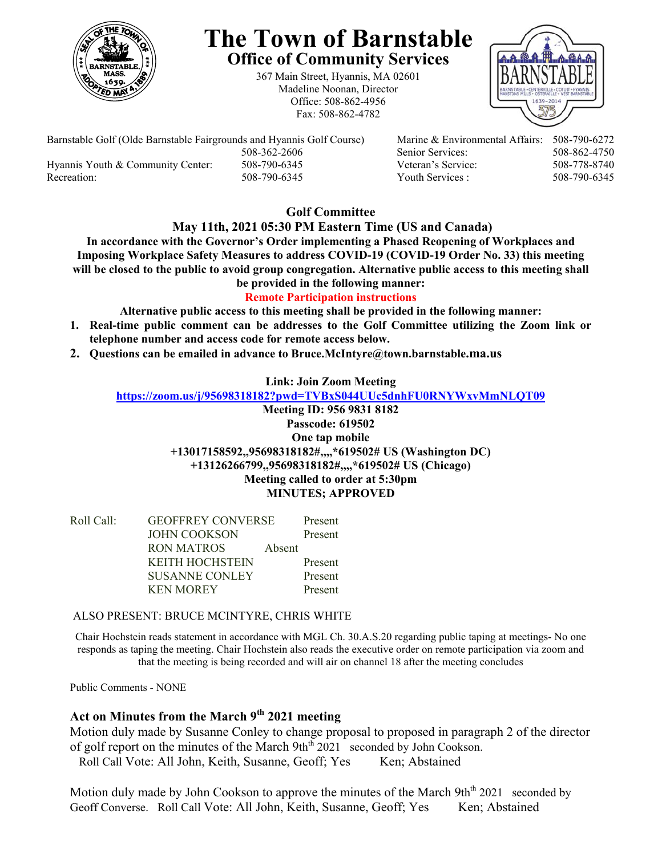

# **The Town of Barnstable Office of Community Services**

367 Main Street, Hyannis, MA 02601 Madeline Noonan, Director Office: 508-862-4956 Fax: 508-862-4782



Barnstable Golf (Olde Barnstable Fairgrounds and Hyannis Golf Course) Marine & Environmental Affairs: 508-790-6272 508-362-2606 Senior Services: 508-862-4750 Hyannis Youth & Community Center: 508-790-6345 Veteran's Service: 508-778-8740

Recreation: 508-790-6345 Youth Services : 508-790-6345

# **Golf Committee**

## **May 11th, 2021 05:30 PM Eastern Time (US and Canada)**

**In accordance with the Governor's Order implementing a Phased Reopening of Workplaces and Imposing Workplace Safety Measures to address COVID-19 (COVID-19 Order No. 33) this meeting will be closed to the public to avoid group congregation. Alternative public access to this meeting shall be provided in the following manner:** 

# **Remote Participation instructions**

**Alternative public access to this meeting shall be provided in the following manner:** 

- **1. Real-time public comment can be addresses to the Golf Committee utilizing the Zoom link or telephone number and access code for remote access below.**
- **2. Questions can be emailed in advance to Bruce.McIntyre@town.barnstable.ma.us**

## **Link: Join Zoom Meeting**

#### **https://zoom.us/j/95698318182?pwd=TVBxS044UUc5dnhFU0RNYWxvMmNLQT09**

**Meeting ID: 956 9831 8182 Passcode: 619502 One tap mobile +13017158592,,95698318182#,,,,\*619502# US (Washington DC) +13126266799,,95698318182#,,,,\*619502# US (Chicago) Meeting called to order at 5:30pm MINUTES; APPROVED** 

| Roll Call: | <b>GEOFFREY CONVERSE</b> |        | Present |
|------------|--------------------------|--------|---------|
|            | JOHN COOKSON             |        | Present |
|            | <b>RON MATROS</b>        | Absent |         |
|            | <b>KEITH HOCHSTEIN</b>   |        | Present |
|            | <b>SUSANNE CONLEY</b>    |        | Present |
|            | <b>KEN MOREY</b>         |        | Present |

#### ALSO PRESENT: BRUCE MCINTYRE, CHRIS WHITE

Chair Hochstein reads statement in accordance with MGL Ch. 30.A.S.20 regarding public taping at meetings- No one responds as taping the meeting. Chair Hochstein also reads the executive order on remote participation via zoom and that the meeting is being recorded and will air on channel 18 after the meeting concludes

Public Comments - NONE

# Act on Minutes from the March 9<sup>th</sup> 2021 meeting

Motion duly made by Susanne Conley to change proposal to proposed in paragraph 2 of the director of golf report on the minutes of the March  $9th<sup>th</sup> 2021$  seconded by John Cookson. Roll Call Vote: All John, Keith, Susanne, Geoff; Yes Ken; Abstained

Motion duly made by John Cookson to approve the minutes of the March 9th<sup>th</sup> 2021 seconded by Geoff Converse. Roll Call Vote: All John, Keith, Susanne, Geoff; Yes Ken; Abstained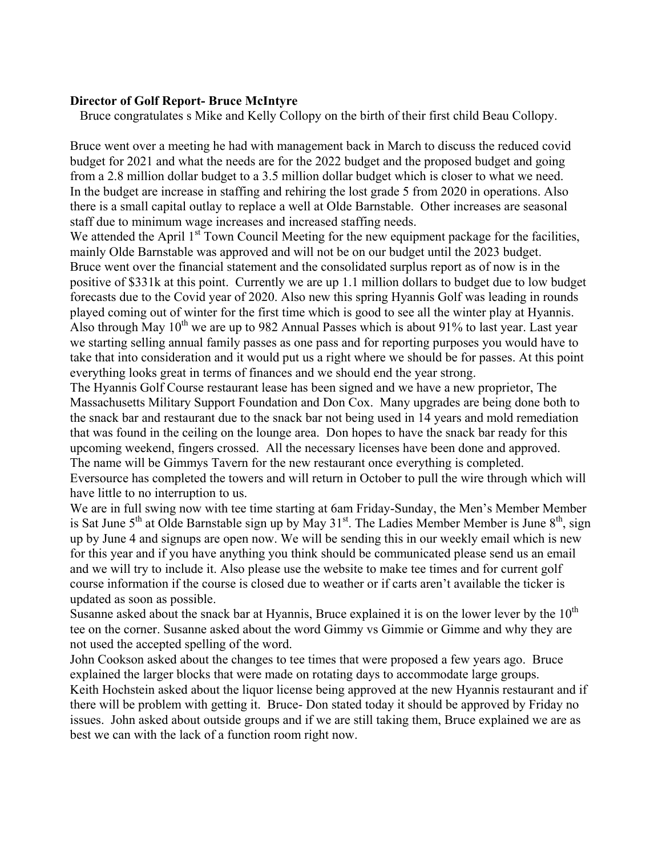## **Director of Golf Report- Bruce McIntyre**

Bruce congratulates s Mike and Kelly Collopy on the birth of their first child Beau Collopy.

Bruce went over a meeting he had with management back in March to discuss the reduced covid budget for 2021 and what the needs are for the 2022 budget and the proposed budget and going from a 2.8 million dollar budget to a 3.5 million dollar budget which is closer to what we need. In the budget are increase in staffing and rehiring the lost grade 5 from 2020 in operations. Also there is a small capital outlay to replace a well at Olde Barnstable. Other increases are seasonal staff due to minimum wage increases and increased staffing needs.

We attended the April  $1<sup>st</sup>$  Town Council Meeting for the new equipment package for the facilities, mainly Olde Barnstable was approved and will not be on our budget until the 2023 budget. Bruce went over the financial statement and the consolidated surplus report as of now is in the positive of \$331k at this point. Currently we are up 1.1 million dollars to budget due to low budget forecasts due to the Covid year of 2020. Also new this spring Hyannis Golf was leading in rounds played coming out of winter for the first time which is good to see all the winter play at Hyannis. Also through May  $10^{th}$  we are up to 982 Annual Passes which is about 91% to last year. Last year we starting selling annual family passes as one pass and for reporting purposes you would have to take that into consideration and it would put us a right where we should be for passes. At this point everything looks great in terms of finances and we should end the year strong.

The Hyannis Golf Course restaurant lease has been signed and we have a new proprietor, The Massachusetts Military Support Foundation and Don Cox. Many upgrades are being done both to the snack bar and restaurant due to the snack bar not being used in 14 years and mold remediation that was found in the ceiling on the lounge area. Don hopes to have the snack bar ready for this upcoming weekend, fingers crossed. All the necessary licenses have been done and approved. The name will be Gimmys Tavern for the new restaurant once everything is completed. Eversource has completed the towers and will return in October to pull the wire through which will have little to no interruption to us.

We are in full swing now with tee time starting at 6am Friday-Sunday, the Men's Member Member is Sat June 5<sup>th</sup> at Olde Barnstable sign up by May 31<sup>st</sup>. The Ladies Member Member is June  $8^{th}$ , sign up by June 4 and signups are open now. We will be sending this in our weekly email which is new for this year and if you have anything you think should be communicated please send us an email and we will try to include it. Also please use the website to make tee times and for current golf course information if the course is closed due to weather or if carts aren't available the ticker is updated as soon as possible.

Susanne asked about the snack bar at Hyannis, Bruce explained it is on the lower lever by the  $10^{th}$ tee on the corner. Susanne asked about the word Gimmy vs Gimmie or Gimme and why they are not used the accepted spelling of the word.

John Cookson asked about the changes to tee times that were proposed a few years ago. Bruce explained the larger blocks that were made on rotating days to accommodate large groups. Keith Hochstein asked about the liquor license being approved at the new Hyannis restaurant and if there will be problem with getting it. Bruce- Don stated today it should be approved by Friday no issues. John asked about outside groups and if we are still taking them, Bruce explained we are as best we can with the lack of a function room right now.